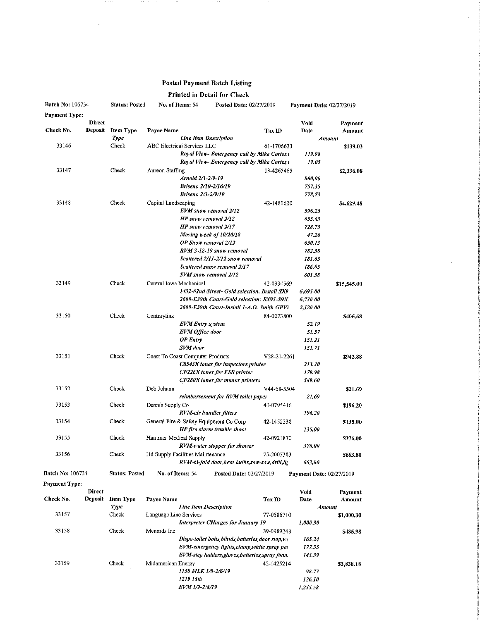## Posted Payment Batch Listing

 $\mathcal{A}$ 

## Printed in Detail for Check

| <b>Batch No: 106734</b> |               | <b>Status: Posted</b> | No. of Items: 54                 |                              | Posted Date: 02/27/2019                       |                          | Payment Date: 02/27/2019 |             |
|-------------------------|---------------|-----------------------|----------------------------------|------------------------------|-----------------------------------------------|--------------------------|--------------------------|-------------|
| Payment Type:           |               |                       |                                  |                              |                                               |                          |                          |             |
|                         | <b>Direct</b> |                       |                                  |                              |                                               |                          | Void                     | Payment     |
| Check No.               | Deposit       | <b>Item Type</b>      | Payee Name                       |                              |                                               | Tax ID                   | Date                     | Amount      |
|                         |               | Type                  |                                  | <b>Line Item Description</b> |                                               |                          | Amount                   |             |
| 33146                   |               | Check                 | ABC Electrical Services LLC      |                              |                                               | 61-1706623               |                          | \$139.03    |
|                         |               |                       |                                  |                              | Royal View- Emergency call by Mike Cortez (   |                          | 119,98                   |             |
|                         |               |                       |                                  |                              | Royal View-Emergency call by Mike Cortez i    |                          | 19.05                    |             |
| 33147                   |               | Check                 | Aureon Staffing                  |                              |                                               | 13-4265465               |                          | \$2,336.08  |
|                         |               |                       |                                  | Arnold 2/3-2/9-19            |                                               |                          | 800.00                   |             |
|                         |               |                       |                                  | Briseno 2/10-2/16/19         |                                               |                          | 757.35                   |             |
|                         |               |                       |                                  | Briseno 2/3-2/9/19           |                                               |                          | 778,73                   |             |
| 33148                   |               | Check                 | Capital Landscaping              |                              |                                               | 42-1480620               |                          | \$4,629.48  |
|                         |               |                       |                                  | EVM snow removal 2/12        |                                               |                          | 596.25                   |             |
|                         |               |                       |                                  | HP snow removal 2/12         |                                               |                          | 655.63                   |             |
|                         |               |                       |                                  | <b>HP</b> snow removal 2/17  |                                               |                          | 728,75                   |             |
|                         |               |                       |                                  | Moving week of 10/20/18      |                                               |                          | 47.26                    |             |
|                         |               |                       |                                  | OP Snow removal 2/12         |                                               |                          | 650.13                   |             |
|                         |               |                       |                                  |                              | RVM 2-12-19 snow removal                      |                          | 782.38                   |             |
|                         |               |                       |                                  |                              | Scattered 2/11-2/12 snow removal              |                          | 181.65                   |             |
|                         |               |                       |                                  |                              | Scattered snow removal 2/17                   |                          | 186.05                   |             |
|                         |               |                       |                                  | SVM snow removal 2/12        |                                               |                          | 801,38                   |             |
| 33149                   |               | Check                 | Central Iowa Mechanical          |                              |                                               | 42-0934569               |                          | \$15,545.00 |
|                         |               |                       |                                  |                              | 1432-62nd Street- Gold selection, Install SX9 |                          | 6,695.00                 |             |
|                         |               |                       |                                  |                              | 2600-E39th Court-Gold selection; SX95-S9X.    |                          | 6,730.00                 |             |
|                         |               |                       |                                  |                              | 2600-E39th Court-Install 1-A.O. Smith GPV1    |                          | 2,120.00                 |             |
| 33150                   |               | Check                 | Centurylink                      |                              |                                               | 84-0273800               |                          | \$406.68    |
|                         |               |                       |                                  | <b>EVM</b> Entry system      |                                               |                          | 52.19                    |             |
|                         |               |                       |                                  | <b>EVM Office door</b>       |                                               |                          | 51,57                    |             |
|                         |               |                       |                                  | $OP$ Entry                   |                                               |                          | 151.21                   |             |
|                         |               |                       |                                  | SVM door                     |                                               |                          | 151.71                   |             |
| 33151                   |               | Check                 |                                  |                              |                                               |                          |                          |             |
|                         |               |                       | Coast To Coast Computer Products |                              |                                               | V <sub>2</sub> 8-21-2261 | 213.30                   | \$942.88    |
|                         |               |                       |                                  |                              | C8543X toner for inspectors printer           |                          | 179.98                   |             |
|                         |               |                       |                                  |                              | <b>CF226X</b> toner for FSS printer           |                          | 549.60                   |             |
| 33152                   |               |                       |                                  |                              | <b>CF280X</b> toner for manor printers        |                          |                          |             |
|                         |               | Check                 | Deb Johann                       |                              |                                               | V44-68-5504              |                          | \$21.69     |
|                         |               |                       |                                  |                              | reimbursement for RVM toilet paper            |                          | 21.69                    |             |
| 33153                   |               | Check                 | Dennis Supply Co                 |                              |                                               | 42-0795416               |                          | \$196.20    |
|                         |               |                       |                                  | RVM-air handler filters      |                                               |                          | 196.20                   |             |
| 33154                   |               | Check                 |                                  |                              | General Fire & Safety Equipment Co Corp       | 42-1452338               |                          | \$135.00    |
|                         |               |                       |                                  |                              | HP fire alarm trouble shoot                   |                          | 135.00                   |             |
| 33155                   |               | Check                 | Hammer Medical Supply            |                              |                                               | 42-0921870               |                          | \$376.00    |
|                         |               |                       |                                  |                              | RVM-water stopper for shower                  |                          | 376.00                   |             |
| 33156                   |               | Check                 | Hd Supply Facilities Maintenance |                              |                                               | 75-2007383               |                          | \$663.80    |
|                         |               |                       |                                  |                              | RVM-bi-fold door,heat bulbs,saw-saw,drill,lit |                          | 663,80                   |             |
| <b>Batch No: 106734</b> |               | <b>Status: Posted</b> | No. of Items: 54                 |                              | Posted Date: 02/27/2019                       |                          | Payment Date: 02/27/2019 |             |

Payment Type:

| Direct         |                  |                                                  |                       |                                                                   | Vaid                                                                                                                                   | Payment    |
|----------------|------------------|--------------------------------------------------|-----------------------|-------------------------------------------------------------------|----------------------------------------------------------------------------------------------------------------------------------------|------------|
| <b>Deposit</b> | <b>Item Type</b> |                                                  |                       | Tax ID                                                            | Date                                                                                                                                   | Amount     |
|                | Type             |                                                  | Line Item Description |                                                                   | Amount                                                                                                                                 |            |
|                | Check            |                                                  |                       | 77-0586710                                                        |                                                                                                                                        | \$1,000.30 |
|                |                  |                                                  |                       |                                                                   | 1,000.30                                                                                                                               |            |
|                | Check            | Menards Inc                                      |                       | 39-0989248                                                        |                                                                                                                                        | \$485.98   |
|                |                  | Dispo-toilet bolts blinds batteries door stop wt |                       |                                                                   | 165.24                                                                                                                                 |            |
|                |                  |                                                  |                       |                                                                   | 177.35                                                                                                                                 |            |
|                |                  |                                                  |                       |                                                                   | 143.39                                                                                                                                 |            |
|                | Check            |                                                  |                       | 42-1425214                                                        |                                                                                                                                        | \$3,838.18 |
|                |                  |                                                  | 1158 MLK 1/8-2/6/19   |                                                                   | 98.73                                                                                                                                  |            |
|                |                  |                                                  | 1219 15th             |                                                                   | 126.10                                                                                                                                 |            |
|                |                  |                                                  | EVM 1/9-2/8/19        |                                                                   | 1,255.58                                                                                                                               |            |
|                |                  |                                                  |                       | <b>Payee Name</b><br>Language Line Services<br>Midamerican Energy | Interpreter CHarges for January 19<br>EVM-emergency lights, clamp, white spray par<br>EVM-step ladders, gloves, batteries, spray foan. |            |